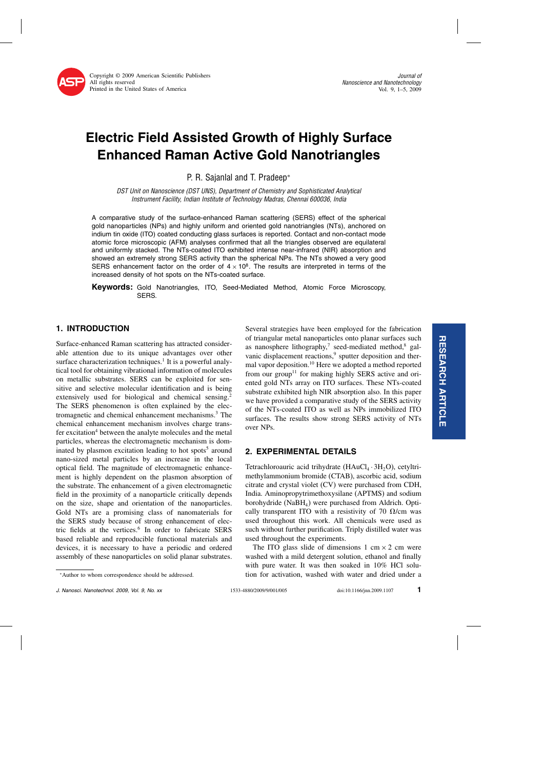

# Electric Field Assisted Growth of Highly Surface Enhanced Raman Active Gold Nanotriangles

P. R. Sajanlal and T. Pradeep<sup>∗</sup>

DST Unit on Nanoscience (DST UNS), Department of Chemistry and Sophisticated Analytical Instrument Facility, Indian Institute of Technology Madras, Chennai 600036, India

A comparative study of the surface-enhanced Raman scattering (SERS) effect of the spherical gold nanoparticles (NPs) and highly uniform and oriented gold nanotriangles (NTs), anchored on indium tin oxide (ITO) coated conducting glass surfaces is reported. Contact and non-contact mode atomic force microscopic (AFM) analyses confirmed that all the triangles observed are equilateral and uniformly stacked. The NTs-coated ITO exhibited intense near-infrared (NIR) absorption and showed an extremely strong SERS activity than the spherical NPs. The NTs showed a very good SERS enhancement factor on the order of  $4 \times 10^8$ . The results are interpreted in terms of the increased density of hot spots on the NTs-coated surface.

Keywords: Gold Nanotriangles, ITO, Seed-Mediated Method, Atomic Force Microscopy, SERS.

## 1. INTRODUCTION

Surface-enhanced Raman scattering has attracted considerable attention due to its unique advantages over other surface characterization techniques.<sup>1</sup> It is a powerful analytical tool for obtaining vibrational information of molecules on metallic substrates. SERS can be exploited for sensitive and selective molecular identification and is being extensively used for biological and chemical sensing.<sup>2</sup> The SERS phenomenon is often explained by the electromagnetic and chemical enhancement mechanisms.3 The chemical enhancement mechanism involves charge transfer excitation<sup>4</sup> between the analyte molecules and the metal particles, whereas the electromagnetic mechanism is dominated by plasmon excitation leading to hot spots<sup>5</sup> around nano-sized metal particles by an increase in the local optical field. The magnitude of electromagnetic enhancement is highly dependent on the plasmon absorption of the substrate.The enhancement of a given electromagnetic field in the proximity of a nanoparticle critically depends on the size, shape and orientation of the nanoparticles. Gold NTs are a promising class of nanomaterials for the SERS study because of strong enhancement of electric fields at the vertices.<sup>6</sup> In order to fabricate SERS based reliable and reproducible functional materials and devices, it is necessary to have a periodic and ordered assembly of these nanoparticles on solid planar substrates.

Several strategies have been employed for the fabrication of triangular metal nanoparticles onto planar surfaces such as nanosphere lithography,<sup>7</sup> seed-mediated method, $8$  galvanic displacement reactions,<sup>9</sup> sputter deposition and thermal vapor deposition.10 Here we adopted a method reported from our group<sup>11</sup> for making highly SERS active and oriented gold NTs array on ITO surfaces.These NTs-coated substrate exhibited high NIR absorption also. In this paper we have provided a comparative study of the SERS activity of the NTs-coated ITO as well as NPs immobilized ITO surfaces. The results show strong SERS activity of NTs over NPs.

# 2. EXPERIMENTAL DETAILS

Tetrachloroauric acid trihydrate  $(HAuCl<sub>4</sub> \cdot 3H<sub>2</sub>O)$ , cetyltrimethylammonium bromide (CTAB), ascorbic acid, sodium citrate and crystal violet (CV) were purchased from CDH, India.Aminopropytrimethoxysilane (APTMS) and sodium borohydride ( $N$ a $BH<sub>4</sub>$ ) were purchased from Aldrich. Optically transparent ITO with a resistivity of 70  $\Omega$ /cm was used throughout this work.All chemicals were used as such without further purification. Triply distilled water was used throughout the experiments.

The ITO glass slide of dimensions 1 cm  $\times$  2 cm were washed with a mild detergent solution, ethanol and finally with pure water. It was then soaked in 10% HCl solution for activation, washed with water and dried under a

<sup>∗</sup>Author to whom correspondence should be addressed.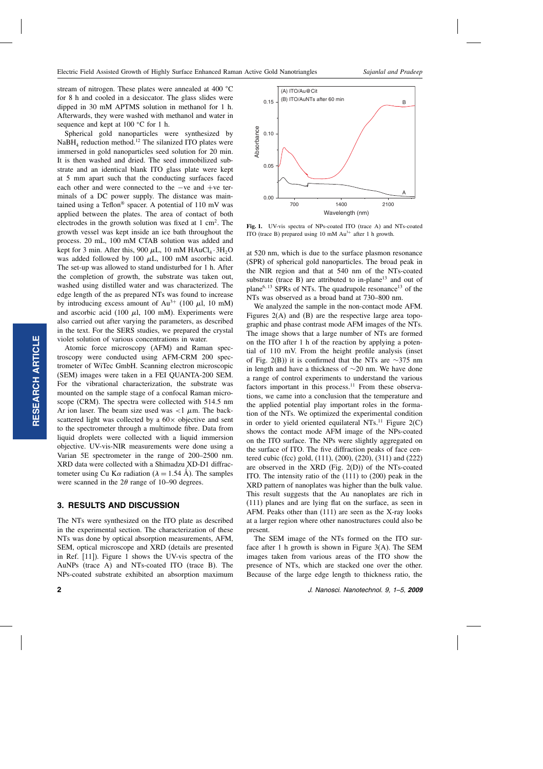stream of nitrogen. These plates were annealed at  $400^{\circ}$ C for 8 h and cooled in a desiccator. The glass slides were dipped in 30 mM APTMS solution in methanol for 1 h. Afterwards, they were washed with methanol and water in sequence and kept at  $100 °C$  for 1 h.

Spherical gold nanoparticles were synthesized by  $NaBH<sub>4</sub>$  reduction method.<sup>12</sup> The silanized ITO plates were immersed in gold nanoparticles seed solution for 20 min. It is then washed and dried. The seed immobilized substrate and an identical blank ITO glass plate were kept at 5 mm apart such that the conducting surfaces faced each other and were connected to the −ve and +ve terminals of a DC power supply. The distance was maintained using a Teflon<sup>®</sup> spacer. A potential of  $110 \text{ mV}$  was applied between the plates.The area of contact of both electrodes in the growth solution was fixed at  $1 \text{ cm}^2$ . The growth vessel was kept inside an ice bath throughout the process.20 mL, 100 mM CTAB solution was added and kept for 3 min. After this, 900  $\mu$ L, 10 mM HAuCl<sub>4</sub> · 3H<sub>2</sub>O was added followed by 100  $\mu$ L, 100 mM ascorbic acid. The set-up was allowed to stand undisturbed for 1 h. After the completion of growth, the substrate was taken out, washed using distilled water and was characterized. The edge length of the as prepared NTs was found to increase by introducing excess amount of Au<sup>3+</sup> (100  $\mu$ l, 10 mM) and ascorbic acid (100  $\mu$ l, 100 mM). Experiments were also carried out after varying the parameters, as described in the text. For the SERS studies, we prepared the crystal violet solution of various concentrations in water.

Atomic force microscopy (AFM) and Raman spectroscopy were conducted using AFM-CRM 200 spectrometer of WiTec GmbH. Scanning electron microscopic (SEM) images were taken in a FEI QUANTA-200 SEM. For the vibrational characterization, the substrate was mounted on the sample stage of a confocal Raman microscope (CRM). The spectra were collected with 514.5 nm Ar ion laser. The beam size used was  $\langle 1 \mu m$ . The backscattered light was collected by a  $60 \times$  objective and sent to the spectrometer through a multimode fibre. Data from liquid droplets were collected with a liquid immersion objective.UV-vis-NIR measurements were done using a Varian 5E spectrometer in the range of 200–2500 nm. XRD data were collected with a Shimadzu XD-D1 diffractometer using Cu K $\alpha$  radiation ( $\lambda = 1.54 \text{ Å}$ ). The samples were scanned in the  $2\theta$  range of 10–90 degrees.

#### 3. RESULTS AND DISCUSSION

The NTs were synthesized on the ITO plate as described in the experimental section. The characterization of these NTs was done by optical absorption measurements, AFM, SEM, optical microscope and XRD (details are presented in Ref. [11]). Figure 1 shows the UV-vis spectra of the AuNPs (trace A) and NTs-coated ITO (trace B). The NPs-coated substrate exhibited an absorption maximum at 520 nm, which is due to the surface plasmon resonance (SPR) of spherical gold nanoparticles.The broad peak in the NIR region and that at 540 nm of the NTs-coated substrate (trace  $B$ ) are attributed to in-plane<sup>13</sup> and out of plane<sup>6, 13</sup> SPRs of NTs. The quadrupole resonance<sup>13</sup> of the

NTs was observed as a broad band at 730–800 nm.

ITO (trace B) prepared using 10 mM Au<sup>3+</sup> after 1 h growth.

We analyzed the sample in the non-contact mode AFM. Figures  $2(A)$  and  $(B)$  are the respective large area topographic and phase contrast mode AFM images of the NTs. The image shows that a large number of NTs are formed on the ITO after 1 h of the reaction by applying a potential of 110 mV. From the height profile analysis (inset of Fig. 2(B)) it is confirmed that the NTs are  $\sim$ 375 nm in length and have a thickness of  $\sim$ 20 nm. We have done a range of control experiments to understand the various factors important in this process. $11$  From these observations, we came into a conclusion that the temperature and the applied potential play important roles in the formation of the NTs.We optimized the experimental condition in order to yield oriented equilateral NTs.<sup>11</sup> Figure  $2(C)$ shows the contact mode AFM image of the NPs-coated on the ITO surface.The NPs were slightly aggregated on the surface of ITO.The five diffraction peaks of face centered cubic (fcc) gold, (111), (200), (220), (311) and (222) are observed in the XRD (Fig.  $2(D)$ ) of the NTs-coated ITO.The intensity ratio of the (111) to (200) peak in the XRD pattern of nanoplates was higher than the bulk value. This result suggests that the Au nanoplates are rich in (111) planes and are lying flat on the surface, as seen in AFM. Peaks other than  $(111)$  are seen as the X-ray looks at a larger region where other nanostructures could also be present.

The SEM image of the NTs formed on the ITO surface after 1 h growth is shown in Figure  $3(A)$ . The SEM images taken from various areas of the ITO show the presence of NTs, which are stacked one over the other. Because of the large edge length to thickness ratio, the

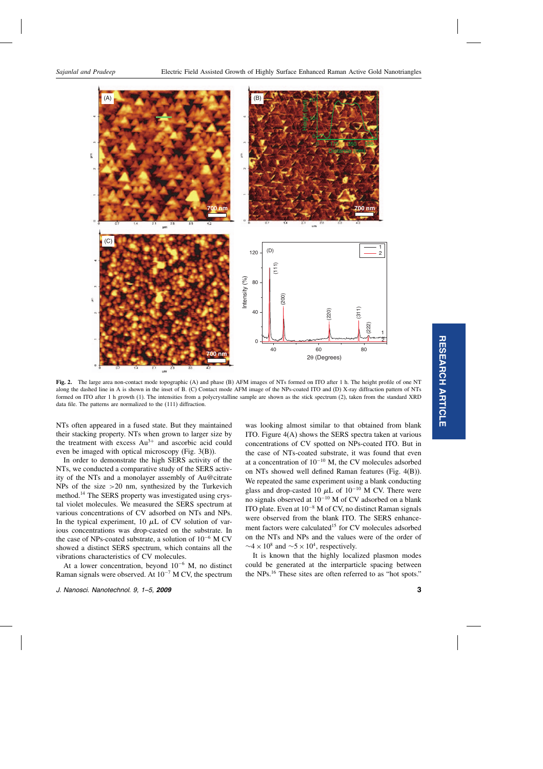

Fig. 2. The large area non-contact mode topographic (A) and phase (B) AFM images of NTs formed on ITO after 1 h. The height profile of one NT along the dashed line in A is shown in the inset of B.(C) Contact mode AFM image of the NPs-coated ITO and (D) X-ray diffraction pattern of NTs formed on ITO after 1 h growth (1). The intensities from a polycrystalline sample are shown as the stick spectrum (2), taken from the standard XRD data file. The patterns are normalized to the (111) diffraction.

NTs often appeared in a fused state. But they maintained their stacking property.NTs when grown to larger size by the treatment with excess  $Au^{3+}$  and ascorbic acid could even be imaged with optical microscopy (Fig.3(B)).

In order to demonstrate the high SERS activity of the NTs, we conducted a comparative study of the SERS activity of the NTs and a monolayer assembly of Au@citrate NPs of the size  $>20$  nm, synthesized by the Turkevich method.<sup>14</sup> The SERS property was investigated using crystal violet molecules.We measured the SERS spectrum at various concentrations of CV adsorbed on NTs and NPs. In the typical experiment, 10  $\mu$ L of CV solution of various concentrations was drop-casted on the substrate.In the case of NPs-coated substrate, a solution of 10−<sup>6</sup> M CV showed a distinct SERS spectrum, which contains all the vibrations characteristics of CV molecules.

At a lower concentration, beyond  $10^{-6}$  M, no distinct Raman signals were observed. At  $10^{-7}$  M CV, the spectrum was looking almost similar to that obtained from blank ITO. Figure  $4(A)$  shows the SERS spectra taken at various concentrations of CV spotted on NPs-coated ITO. But in the case of NTs-coated substrate, it was found that even at a concentration of  $10^{-10}$  M, the CV molecules adsorbed on NTs showed well defined Raman features (Fig.4(B)). We repeated the same experiment using a blank conducting glass and drop-casted 10  $\mu$ L of 10<sup>-10</sup> M CV. There were no signals observed at 10−<sup>10</sup> M of CV adsorbed on a blank ITO plate.Even at 10−<sup>8</sup> M of CV, no distinct Raman signals were observed from the blank ITO. The SERS enhancement factors were calculated<sup>15</sup> for CV molecules adsorbed on the NTs and NPs and the values were of the order of  $\sim$ 4 × 10<sup>8</sup> and  $\sim$ 5 × 10<sup>4</sup>, respectively.

It is known that the highly localized plasmon modes could be generated at the interparticle spacing between the NPs.16 These sites are often referred to as "hot spots."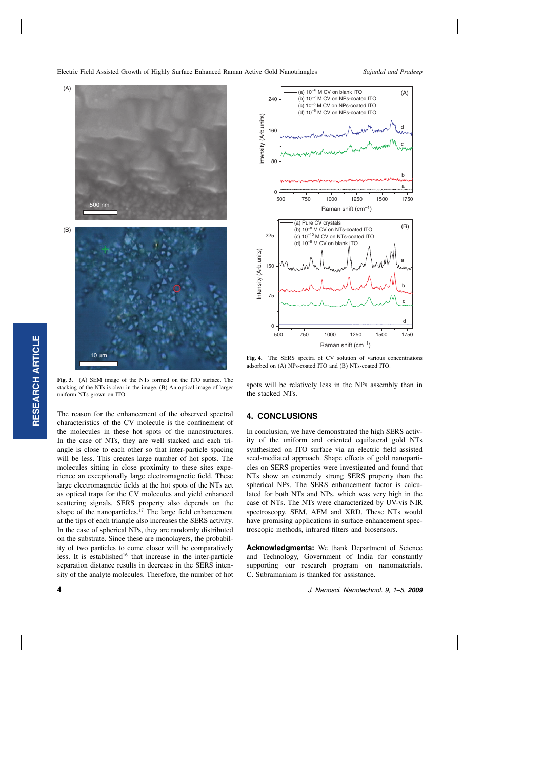

Fig. 3. (A) SEM image of the NTs formed on the ITO surface. The stacking of the NTs is clear in the image.(B) An optical image of larger uniform NTs grown on ITO.

The reason for the enhancement of the observed spectral characteristics of the CV molecule is the confinement of the molecules in these hot spots of the nanostructures. In the case of NTs, they are well stacked and each triangle is close to each other so that inter-particle spacing will be less. This creates large number of hot spots. The molecules sitting in close proximity to these sites experience an exceptionally large electromagnetic field.These large electromagnetic fields at the hot spots of the NTs act as optical traps for the CV molecules and yield enhanced scattering signals. SERS property also depends on the shape of the nanoparticles.<sup>17</sup> The large field enhancement at the tips of each triangle also increases the SERS activity. In the case of spherical NPs, they are randomly distributed on the substrate.Since these are monolayers, the probability of two particles to come closer will be comparatively less. It is established<sup>16</sup> that increase in the inter-particle separation distance results in decrease in the SERS intensity of the analyte molecules.Therefore, the number of hot



Fig. 4. The SERS spectra of CV solution of various concentrations adsorbed on (A) NPs-coated ITO and (B) NTs-coated ITO.

spots will be relatively less in the NPs assembly than in the stacked NTs.

### 4. CONCLUSIONS

In conclusion, we have demonstrated the high SERS activity of the uniform and oriented equilateral gold NTs synthesized on ITO surface via an electric field assisted seed-mediated approach.Shape effects of gold nanoparticles on SERS properties were investigated and found that NTs show an extremely strong SERS property than the spherical NPs. The SERS enhancement factor is calculated for both NTs and NPs, which was very high in the case of NTs.The NTs were characterized by UV-vis NIR spectroscopy, SEM, AFM and XRD. These NTs would have promising applications in surface enhancement spectroscopic methods, infrared filters and biosensors.

Acknowledgments: We thank Department of Science and Technology, Government of India for constantly supporting our research program on nanomaterials. C.Subramaniam is thanked for assistance.